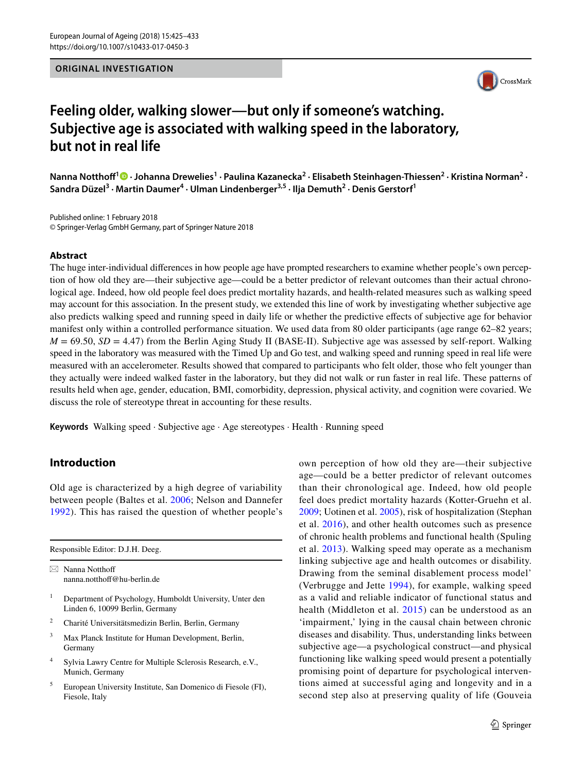# **ORIGINAL INVESTIGATION**



# **Feeling older, walking slower—but only if someone's watching. Subjective age is associated with walking speed in the laboratory, but not in real life**

NannaNotthoff<sup>1</sup> <sup>O</sup> · Johanna Drewelies<sup>1</sup> · Paulina Kazanecka<sup>2</sup> · Elisabeth Steinhagen-Thiessen<sup>2</sup> · Kristina Norman<sup>2</sup> · **Sandra Düzel3 · Martin Daumer4 · Ulman Lindenberger3,5 · Ilja Demuth2 · Denis Gerstorf1**

Published online: 1 February 2018 © Springer-Verlag GmbH Germany, part of Springer Nature 2018

## **Abstract**

The huge inter-individual diferences in how people age have prompted researchers to examine whether people's own perception of how old they are—their subjective age—could be a better predictor of relevant outcomes than their actual chronological age. Indeed, how old people feel does predict mortality hazards, and health-related measures such as walking speed may account for this association. In the present study, we extended this line of work by investigating whether subjective age also predicts walking speed and running speed in daily life or whether the predictive efects of subjective age for behavior manifest only within a controlled performance situation. We used data from 80 older participants (age range 62–82 years;  $M = 69.50$ ,  $SD = 4.47$ ) from the Berlin Aging Study II (BASE-II). Subjective age was assessed by self-report. Walking speed in the laboratory was measured with the Timed Up and Go test, and walking speed and running speed in real life were measured with an accelerometer. Results showed that compared to participants who felt older, those who felt younger than they actually were indeed walked faster in the laboratory, but they did not walk or run faster in real life. These patterns of results held when age, gender, education, BMI, comorbidity, depression, physical activity, and cognition were covaried. We discuss the role of stereotype threat in accounting for these results.

**Keywords** Walking speed · Subjective age · Age stereotypes · Health · Running speed

# **Introduction**

Old age is characterized by a high degree of variability between people (Baltes et al. [2006](#page-7-0); Nelson and Dannefer [1992](#page-8-0)). This has raised the question of whether people's

Responsible Editor: D.J.H. Deeg.

 $\boxtimes$  Nanna Notthoff nanna.notthof@hu-berlin.de

- <sup>1</sup> Department of Psychology, Humboldt University, Unter den Linden 6, 10099 Berlin, Germany
- <sup>2</sup> Charité Universitätsmedizin Berlin, Berlin, Germany
- <sup>3</sup> Max Planck Institute for Human Development, Berlin, Germany
- <sup>4</sup> Sylvia Lawry Centre for Multiple Sclerosis Research, e.V., Munich, Germany
- <sup>5</sup> European University Institute, San Domenico di Fiesole (FI), Fiesole, Italy

own perception of how old they are—their subjective age—could be a better predictor of relevant outcomes than their chronological age. Indeed, how old people feel does predict mortality hazards (Kotter-Gruehn et al. [2009](#page-7-1); Uotinen et al. [2005\)](#page-8-1), risk of hospitalization (Stephan et al. [2016\)](#page-8-2), and other health outcomes such as presence of chronic health problems and functional health (Spuling et al. [2013](#page-8-3)). Walking speed may operate as a mechanism linking subjective age and health outcomes or disability. Drawing from the seminal disablement process model' (Verbrugge and Jette [1994](#page-8-4)), for example, walking speed as a valid and reliable indicator of functional status and health (Middleton et al. [2015](#page-8-5)) can be understood as an 'impairment,' lying in the causal chain between chronic diseases and disability. Thus, understanding links between subjective age—a psychological construct—and physical functioning like walking speed would present a potentially promising point of departure for psychological interventions aimed at successful aging and longevity and in a second step also at preserving quality of life (Gouveia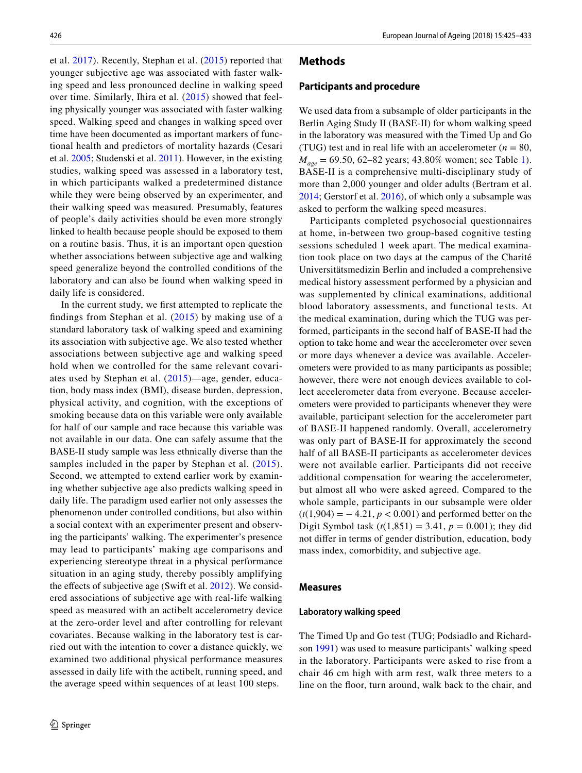et al. [2017](#page-7-2)). Recently, Stephan et al. ([2015](#page-8-6)) reported that younger subjective age was associated with faster walking speed and less pronounced decline in walking speed over time. Similarly, Ihira et al. ([2015\)](#page-7-3) showed that feeling physically younger was associated with faster walking speed. Walking speed and changes in walking speed over time have been documented as important markers of functional health and predictors of mortality hazards (Cesari et al. [2005](#page-7-4); Studenski et al. [2011\)](#page-8-7). However, in the existing studies, walking speed was assessed in a laboratory test, in which participants walked a predetermined distance while they were being observed by an experimenter, and their walking speed was measured. Presumably, features of people's daily activities should be even more strongly linked to health because people should be exposed to them on a routine basis. Thus, it is an important open question whether associations between subjective age and walking speed generalize beyond the controlled conditions of the laboratory and can also be found when walking speed in daily life is considered.

In the current study, we frst attempted to replicate the fndings from Stephan et al. ([2015\)](#page-8-6) by making use of a standard laboratory task of walking speed and examining its association with subjective age. We also tested whether associations between subjective age and walking speed hold when we controlled for the same relevant covariates used by Stephan et al. ([2015\)](#page-8-6)—age, gender, education, body mass index (BMI), disease burden, depression, physical activity, and cognition, with the exceptions of smoking because data on this variable were only available for half of our sample and race because this variable was not available in our data. One can safely assume that the BASE-II study sample was less ethnically diverse than the samples included in the paper by Stephan et al. ([2015](#page-8-6)). Second, we attempted to extend earlier work by examining whether subjective age also predicts walking speed in daily life. The paradigm used earlier not only assesses the phenomenon under controlled conditions, but also within a social context with an experimenter present and observing the participants' walking. The experimenter's presence may lead to participants' making age comparisons and experiencing stereotype threat in a physical performance situation in an aging study, thereby possibly amplifying the effects of subjective age (Swift et al. [2012](#page-8-8)). We considered associations of subjective age with real-life walking speed as measured with an actibelt accelerometry device at the zero-order level and after controlling for relevant covariates. Because walking in the laboratory test is carried out with the intention to cover a distance quickly, we examined two additional physical performance measures assessed in daily life with the actibelt, running speed, and the average speed within sequences of at least 100 steps.

## **Methods**

#### **Participants and procedure**

We used data from a subsample of older participants in the Berlin Aging Study II (BASE-II) for whom walking speed in the laboratory was measured with the Timed Up and Go (TUG) test and in real life with an accelerometer  $(n = 80,$ *M<sub>age</sub>* = 69.50, 62–82 years; 43.80% women; see Table [1](#page-2-0)). BASE-II is a comprehensive multi-disciplinary study of more than 2,000 younger and older adults (Bertram et al. [2014](#page-7-5); Gerstorf et al. [2016](#page-7-6)), of which only a subsample was asked to perform the walking speed measures.

Participants completed psychosocial questionnaires at home, in-between two group-based cognitive testing sessions scheduled 1 week apart. The medical examination took place on two days at the campus of the Charité Universitätsmedizin Berlin and included a comprehensive medical history assessment performed by a physician and was supplemented by clinical examinations, additional blood laboratory assessments, and functional tests. At the medical examination, during which the TUG was performed, participants in the second half of BASE-II had the option to take home and wear the accelerometer over seven or more days whenever a device was available. Accelerometers were provided to as many participants as possible; however, there were not enough devices available to collect accelerometer data from everyone. Because accelerometers were provided to participants whenever they were available, participant selection for the accelerometer part of BASE-II happened randomly. Overall, accelerometry was only part of BASE-II for approximately the second half of all BASE-II participants as accelerometer devices were not available earlier. Participants did not receive additional compensation for wearing the accelerometer, but almost all who were asked agreed. Compared to the whole sample, participants in our subsample were older  $(t(1,904) = -4.21, p < 0.001)$  and performed better on the Digit Symbol task  $(t(1,851) = 3.41, p = 0.001)$ ; they did not difer in terms of gender distribution, education, body mass index, comorbidity, and subjective age.

#### **Measures**

#### **Laboratory walking speed**

The Timed Up and Go test (TUG; Podsiadlo and Richardson [1991\)](#page-8-9) was used to measure participants' walking speed in the laboratory. Participants were asked to rise from a chair 46 cm high with arm rest, walk three meters to a line on the foor, turn around, walk back to the chair, and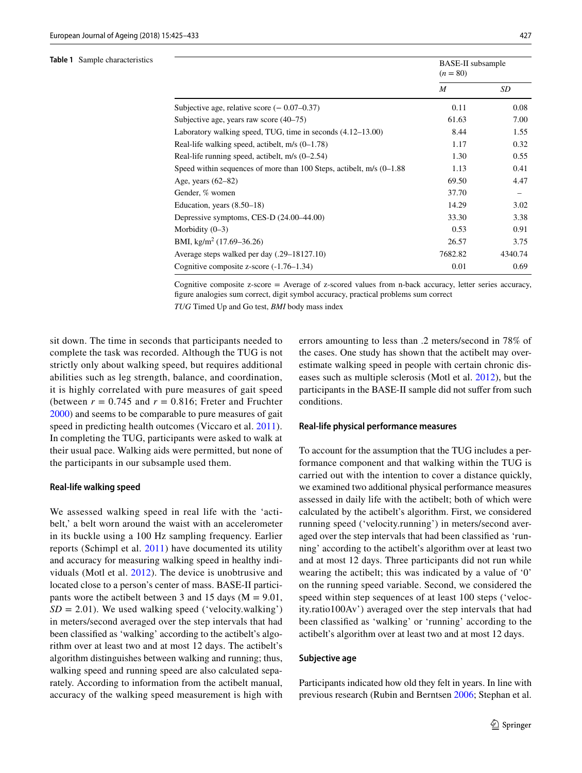#### <span id="page-2-0"></span>**Table 1** Sample characteristics

|                                                                       | <b>BASE-II</b> subsample<br>$(n = 80)$ |         |  |
|-----------------------------------------------------------------------|----------------------------------------|---------|--|
|                                                                       | M                                      | SD      |  |
| Subjective age, relative score $(-0.07-0.37)$                         | 0.11                                   | 0.08    |  |
| Subjective age, years raw score (40–75)                               | 61.63                                  | 7.00    |  |
| Laboratory walking speed, TUG, time in seconds $(4.12-13.00)$         | 8.44                                   | 1.55    |  |
| Real-life walking speed, actibelt, $m/s$ (0–1.78)                     | 1.17                                   | 0.32    |  |
| Real-life running speed, actibelt, $m/s$ (0–2.54)                     | 1.30                                   | 0.55    |  |
| Speed within sequences of more than 100 Steps, actibelt, m/s (0–1.88) | 1.13                                   | 0.41    |  |
| Age, years $(62-82)$                                                  | 69.50                                  | 4.47    |  |
| Gender, % women                                                       | 37.70                                  | -       |  |
| Education, years $(8.50-18)$                                          | 14.29                                  | 3.02    |  |
| Depressive symptoms, CES-D (24.00–44.00)                              | 33.30                                  | 3.38    |  |
| Morbidity $(0-3)$                                                     | 0.53                                   | 0.91    |  |
| BMI, kg/m <sup>2</sup> (17.69–36.26)                                  | 26.57                                  | 3.75    |  |
| Average steps walked per day (.29–18127.10)                           | 7682.82                                | 4340.74 |  |
| Cognitive composite z-score $(-1.76-1.34)$                            | 0.01                                   | 0.69    |  |

Cognitive composite z-score = Average of z-scored values from n-back accuracy, letter series accuracy, fgure analogies sum correct, digit symbol accuracy, practical problems sum correct

*TUG* Timed Up and Go test, *BMI* body mass index

sit down. The time in seconds that participants needed to complete the task was recorded. Although the TUG is not strictly only about walking speed, but requires additional abilities such as leg strength, balance, and coordination, it is highly correlated with pure measures of gait speed (between  $r = 0.745$  and  $r = 0.816$ ; Freter and Fruchter [2000](#page-7-7)) and seems to be comparable to pure measures of gait speed in predicting health outcomes (Viccaro et al. [2011\)](#page-8-10). In completing the TUG, participants were asked to walk at their usual pace. Walking aids were permitted, but none of the participants in our subsample used them.

#### **Real‑life walking speed**

We assessed walking speed in real life with the 'actibelt,' a belt worn around the waist with an accelerometer in its buckle using a 100 Hz sampling frequency. Earlier reports (Schimpl et al. [2011\)](#page-8-11) have documented its utility and accuracy for measuring walking speed in healthy individuals (Motl et al. [2012\)](#page-8-12). The device is unobtrusive and located close to a person's center of mass. BASE-II participants wore the actibelt between 3 and 15 days ( $M = 9.01$ ,  $SD = 2.01$ ). We used walking speed ('velocity.walking') in meters/second averaged over the step intervals that had been classifed as 'walking' according to the actibelt's algorithm over at least two and at most 12 days. The actibelt's algorithm distinguishes between walking and running; thus, walking speed and running speed are also calculated separately. According to information from the actibelt manual, accuracy of the walking speed measurement is high with errors amounting to less than .2 meters/second in 78% of the cases. One study has shown that the actibelt may overestimate walking speed in people with certain chronic diseases such as multiple sclerosis (Motl et al. [2012](#page-8-12)), but the participants in the BASE-II sample did not suffer from such conditions.

#### **Real‑life physical performance measures**

To account for the assumption that the TUG includes a performance component and that walking within the TUG is carried out with the intention to cover a distance quickly, we examined two additional physical performance measures assessed in daily life with the actibelt; both of which were calculated by the actibelt's algorithm. First, we considered running speed ('velocity.running') in meters/second averaged over the step intervals that had been classifed as 'running' according to the actibelt's algorithm over at least two and at most 12 days. Three participants did not run while wearing the actibelt; this was indicated by a value of '0' on the running speed variable. Second, we considered the speed within step sequences of at least 100 steps ('velocity.ratio100Av') averaged over the step intervals that had been classifed as 'walking' or 'running' according to the actibelt's algorithm over at least two and at most 12 days.

#### **Subjective age**

Participants indicated how old they felt in years. In line with previous research (Rubin and Berntsen [2006;](#page-8-13) Stephan et al.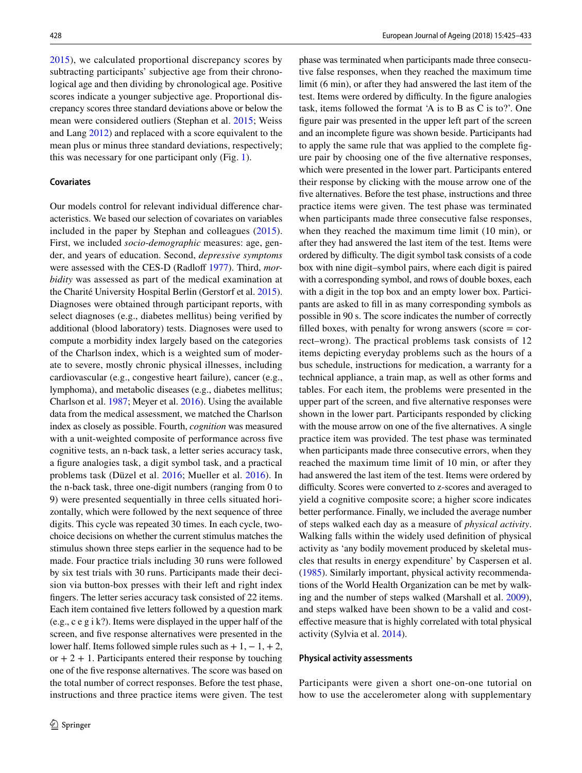[2015\)](#page-8-6), we calculated proportional discrepancy scores by subtracting participants' subjective age from their chronological age and then dividing by chronological age. Positive scores indicate a younger subjective age. Proportional discrepancy scores three standard deviations above or below the mean were considered outliers (Stephan et al. [2015](#page-8-6); Weiss and Lang [2012](#page-8-14)) and replaced with a score equivalent to the mean plus or minus three standard deviations, respectively; this was necessary for one participant only (Fig. [1\)](#page-4-0).

## **Covariates**

Our models control for relevant individual diference characteristics. We based our selection of covariates on variables included in the paper by Stephan and colleagues ([2015](#page-8-6)). First, we included *socio*-*demographic* measures: age, gender, and years of education. Second, *depressive symptoms* were assessed with the CES-D (Radloff [1977\)](#page-8-15). Third, *morbidity* was assessed as part of the medical examination at the Charité University Hospital Berlin (Gerstorf et al. [2015](#page-7-8)). Diagnoses were obtained through participant reports, with select diagnoses (e.g., diabetes mellitus) being verifed by additional (blood laboratory) tests. Diagnoses were used to compute a morbidity index largely based on the categories of the Charlson index, which is a weighted sum of moderate to severe, mostly chronic physical illnesses, including cardiovascular (e.g., congestive heart failure), cancer (e.g., lymphoma), and metabolic diseases (e.g., diabetes mellitus; Charlson et al. [1987;](#page-7-9) Meyer et al. [2016\)](#page-8-16). Using the available data from the medical assessment, we matched the Charlson index as closely as possible. Fourth, *cognition* was measured with a unit-weighted composite of performance across fve cognitive tests, an n-back task, a letter series accuracy task, a fgure analogies task, a digit symbol task, and a practical problems task (Düzel et al. [2016](#page-7-10); Mueller et al. [2016\)](#page-8-17). In the n-back task, three one-digit numbers (ranging from 0 to 9) were presented sequentially in three cells situated horizontally, which were followed by the next sequence of three digits. This cycle was repeated 30 times. In each cycle, twochoice decisions on whether the current stimulus matches the stimulus shown three steps earlier in the sequence had to be made. Four practice trials including 30 runs were followed by six test trials with 30 runs. Participants made their decision via button-box presses with their left and right index fngers. The letter series accuracy task consisted of 22 items. Each item contained fve letters followed by a question mark (e.g., c e g i k?). Items were displayed in the upper half of the screen, and fve response alternatives were presented in the lower half. Items followed simple rules such as  $+1, -1, +2,$ or  $+ 2 + 1$ . Participants entered their response by touching one of the fve response alternatives. The score was based on the total number of correct responses. Before the test phase, instructions and three practice items were given. The test phase was terminated when participants made three consecutive false responses, when they reached the maximum time limit (6 min), or after they had answered the last item of the test. Items were ordered by difficulty. In the figure analogies task, items followed the format 'A is to B as C is to?'. One fgure pair was presented in the upper left part of the screen and an incomplete fgure was shown beside. Participants had to apply the same rule that was applied to the complete fgure pair by choosing one of the fve alternative responses, which were presented in the lower part. Participants entered their response by clicking with the mouse arrow one of the fve alternatives. Before the test phase, instructions and three practice items were given. The test phase was terminated when participants made three consecutive false responses, when they reached the maximum time limit (10 min), or after they had answered the last item of the test. Items were ordered by difficulty. The digit symbol task consists of a code box with nine digit–symbol pairs, where each digit is paired with a corresponding symbol, and rows of double boxes, each with a digit in the top box and an empty lower box. Participants are asked to fll in as many corresponding symbols as possible in 90 s. The score indicates the number of correctly filled boxes, with penalty for wrong answers (score  $=$  correct–wrong). The practical problems task consists of 12 items depicting everyday problems such as the hours of a bus schedule, instructions for medication, a warranty for a technical appliance, a train map, as well as other forms and tables. For each item, the problems were presented in the upper part of the screen, and fve alternative responses were shown in the lower part. Participants responded by clicking with the mouse arrow on one of the five alternatives. A single practice item was provided. The test phase was terminated when participants made three consecutive errors, when they reached the maximum time limit of 10 min, or after they had answered the last item of the test. Items were ordered by difficulty. Scores were converted to z-scores and averaged to yield a cognitive composite score; a higher score indicates better performance. Finally, we included the average number of steps walked each day as a measure of *physical activity*. Walking falls within the widely used defnition of physical activity as 'any bodily movement produced by skeletal muscles that results in energy expenditure' by Caspersen et al. [\(1985](#page-7-11)). Similarly important, physical activity recommendations of the World Health Organization can be met by walking and the number of steps walked (Marshall et al. [2009](#page-7-12)), and steps walked have been shown to be a valid and costefective measure that is highly correlated with total physical activity (Sylvia et al. [2014\)](#page-8-18).

#### **Physical activity assessments**

Participants were given a short one-on-one tutorial on how to use the accelerometer along with supplementary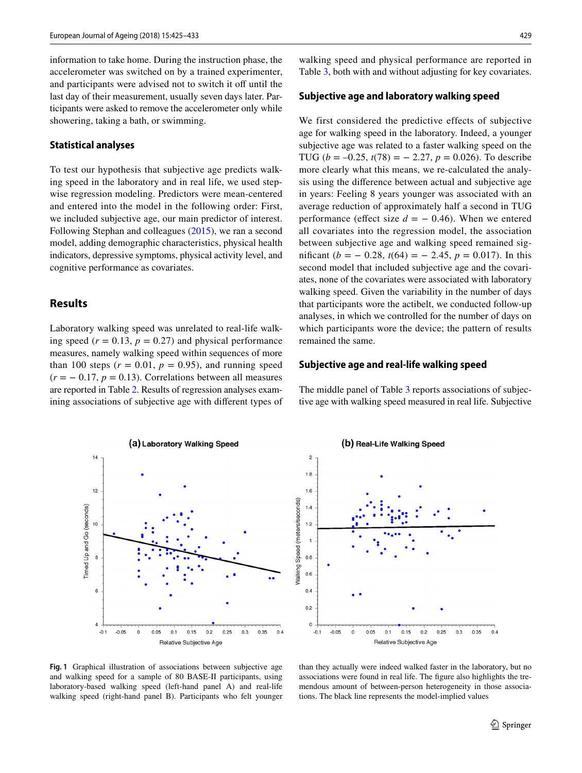information to take home. During the instruction phase, the accelerometer was switched on by a trained experimenter, and participants were advised not to switch it off until the last day of their measurement, usually seven days later. Participants were asked to remove the accelerometer only while showering, taking a bath, or swimming.

## **Statistical analyses**

To test our hypothesis that subjective age predicts walking speed in the laboratory and in real life, we used stepwise regression modeling. Predictors were mean-centered and entered into the model in the following order: First, we included subjective age, our main predictor of interest. Following Stephan and colleagues ([2015\)](#page-8-6), we ran a second model, adding demographic characteristics, physical health indicators, depressive symptoms, physical activity level, and cognitive performance as covariates.

# **Results**

Laboratory walking speed was unrelated to real-life walking speed ( $r = 0.13$ ,  $p = 0.27$ ) and physical performance measures, namely walking speed within sequences of more than 100 steps  $(r = 0.01, p = 0.95)$ , and running speed  $(r = -0.17, p = 0.13)$ . Correlations between all measures are reported in Table [2.](#page-5-0) Results of regression analyses examining associations of subjective age with diferent types of walking speed and physical performance are reported in Table [3](#page-6-0), both with and without adjusting for key covariates.

# **Subjective age and laboratory walking speed**

We first considered the predictive effects of subjective age for walking speed in the laboratory. Indeed, a younger subjective age was related to a faster walking speed on the TUG ( $b = -0.25$ ,  $t(78) = -2.27$ ,  $p = 0.026$ ). To describe more clearly what this means, we re-calculated the analysis using the diference between actual and subjective age in years: Feeling 8 years younger was associated with an average reduction of approximately half a second in TUG performance (effect size  $d = -0.46$ ). When we entered all covariates into the regression model, the association between subjective age and walking speed remained significant ( $b = -0.28$ ,  $t(64) = -2.45$ ,  $p = 0.017$ ). In this second model that included subjective age and the covariates, none of the covariates were associated with laboratory walking speed. Given the variability in the number of days that participants wore the actibelt, we conducted follow-up analyses, in which we controlled for the number of days on which participants wore the device; the pattern of results remained the same.

## **Subjective age and real‑life walking speed**

The middle panel of Table [3](#page-6-0) reports associations of subjective age with walking speed measured in real life. Subjective



(b) Real-Life Walking Speed



<span id="page-4-0"></span>**Fig. 1** Graphical illustration of associations between subjective age and walking speed for a sample of 80 BASE-II participants, using laboratory-based walking speed (left-hand panel A) and real-life walking speed (right-hand panel B). Participants who felt younger

than they actually were indeed walked faster in the laboratory, but no associations were found in real life. The fgure also highlights the tremendous amount of between-person heterogeneity in those associations. The black line represents the model-implied values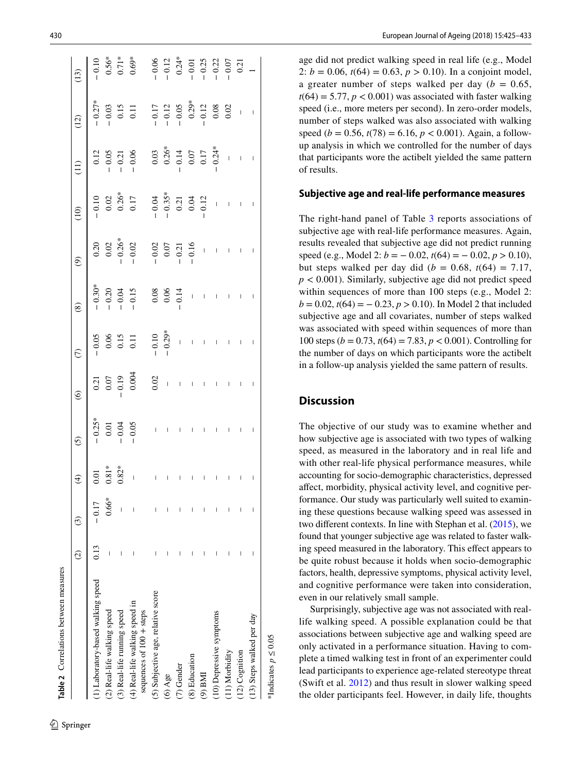| Table 2 Correlations between measures                      |               |             |                          |                                                                                                                                                                                                                                                                                                                                                                                                                |                                                                 |                                             |                                                      |                                                                                                                                                                                                                                                                                                                                                                                                                |                                                     |                                                                                                                     |                                                                                                                                                                                                                                                                                                                                                  |
|------------------------------------------------------------|---------------|-------------|--------------------------|----------------------------------------------------------------------------------------------------------------------------------------------------------------------------------------------------------------------------------------------------------------------------------------------------------------------------------------------------------------------------------------------------------------|-----------------------------------------------------------------|---------------------------------------------|------------------------------------------------------|----------------------------------------------------------------------------------------------------------------------------------------------------------------------------------------------------------------------------------------------------------------------------------------------------------------------------------------------------------------------------------------------------------------|-----------------------------------------------------|---------------------------------------------------------------------------------------------------------------------|--------------------------------------------------------------------------------------------------------------------------------------------------------------------------------------------------------------------------------------------------------------------------------------------------------------------------------------------------|
|                                                            | $\widehat{c}$ | $\odot$     | $\widehat{\mathfrak{t}}$ | $\tilde{c}$                                                                                                                                                                                                                                                                                                                                                                                                    | $\odot$                                                         | $\widehat{C}$                               | $^\circledR$                                         | $\widehat{\mathcal{O}}$                                                                                                                                                                                                                                                                                                                                                                                        | $\widehat{c}$                                       | (12)                                                                                                                | $\left(13\right)$                                                                                                                                                                                                                                                                                                                                |
| (1) Laboratory-based walking speed                         | 0.13          | $-0.17$     |                          | $-0.25*$                                                                                                                                                                                                                                                                                                                                                                                                       | 0.21                                                            | $-0.05$                                     | $-0.30*$                                             | 0.20                                                                                                                                                                                                                                                                                                                                                                                                           | 0.10                                                | $-0.27*$                                                                                                            |                                                                                                                                                                                                                                                                                                                                                  |
| (2) Real-life walking speed                                |               | $0.66*$     | $0.81*$                  |                                                                                                                                                                                                                                                                                                                                                                                                                |                                                                 | $0.06\,$                                    |                                                      |                                                                                                                                                                                                                                                                                                                                                                                                                | $0.02\,$                                            |                                                                                                                     |                                                                                                                                                                                                                                                                                                                                                  |
| (3) Real-life running speed                                |               |             | $0.82*$                  | $-0.01$<br>$-0.04$<br>$-0.05$                                                                                                                                                                                                                                                                                                                                                                                  |                                                                 |                                             |                                                      |                                                                                                                                                                                                                                                                                                                                                                                                                | $0.26*$<br>0.17                                     | $-0.03$<br>0.15<br>0.11                                                                                             | $\frac{0.56*}{0.71*}$                                                                                                                                                                                                                                                                                                                            |
| (4) Real-life walking speed in<br>sequences of 100 + steps |               | I           | $\overline{1}$           |                                                                                                                                                                                                                                                                                                                                                                                                                | $\begin{bmatrix} 0.07 \\ -0.19 \\ 0.004 \\ 0.004 \end{bmatrix}$ | $\begin{array}{c} 0.15 \\ 0.11 \end{array}$ | $-0.20$<br>$-0.04$<br>$-0.15$                        | $-0.26$<br>$-0.26$<br>$-0.02$<br>$-0.02$<br>$-0.07$<br>$-0.07$<br>$-0.16$                                                                                                                                                                                                                                                                                                                                      |                                                     |                                                                                                                     |                                                                                                                                                                                                                                                                                                                                                  |
| (5) Subjective age, relative score                         |               | I           |                          | $\begin{array}{c} \rule{0pt}{2ex} \rule{0pt}{2ex} \rule{0pt}{2ex} \rule{0pt}{2ex} \rule{0pt}{2ex} \rule{0pt}{2ex} \rule{0pt}{2ex} \rule{0pt}{2ex} \rule{0pt}{2ex} \rule{0pt}{2ex} \rule{0pt}{2ex} \rule{0pt}{2ex} \rule{0pt}{2ex} \rule{0pt}{2ex} \rule{0pt}{2ex} \rule{0pt}{2ex} \rule{0pt}{2ex} \rule{0pt}{2ex} \rule{0pt}{2ex} \rule{0pt}{2ex} \rule{0pt}{2ex} \rule{0pt}{2ex} \rule{0pt}{2ex} \rule{0pt}{$ |                                                                 |                                             |                                                      |                                                                                                                                                                                                                                                                                                                                                                                                                |                                                     |                                                                                                                     |                                                                                                                                                                                                                                                                                                                                                  |
| $(6)$ Age                                                  |               |             |                          |                                                                                                                                                                                                                                                                                                                                                                                                                |                                                                 | $-0.10$<br>$-0.29$ *                        | $\begin{array}{r} 0.08 \\ 0.06 \\ -0.14 \end{array}$ |                                                                                                                                                                                                                                                                                                                                                                                                                |                                                     |                                                                                                                     |                                                                                                                                                                                                                                                                                                                                                  |
| (7) Gender                                                 |               |             |                          |                                                                                                                                                                                                                                                                                                                                                                                                                | $\overline{\phantom{a}}$                                        | $\mathbf{I}$                                |                                                      |                                                                                                                                                                                                                                                                                                                                                                                                                |                                                     |                                                                                                                     |                                                                                                                                                                                                                                                                                                                                                  |
| (8) Education                                              |               |             |                          |                                                                                                                                                                                                                                                                                                                                                                                                                | $\overline{\phantom{a}}$                                        | $\overline{\phantom{a}}$                    |                                                      |                                                                                                                                                                                                                                                                                                                                                                                                                |                                                     |                                                                                                                     |                                                                                                                                                                                                                                                                                                                                                  |
| $(9)$ BMI                                                  |               | I           |                          |                                                                                                                                                                                                                                                                                                                                                                                                                |                                                                 | $\overline{\phantom{a}}$                    | $\overline{\phantom{a}}$                             |                                                                                                                                                                                                                                                                                                                                                                                                                | $-0.04$<br>$-0.35*$<br>$-0.21$<br>$0.04$<br>$-0.12$ | $\begin{array}{r} -0.17 \\ -0.12 \\ -0.05 \\ 0.29^* \\ -0.12 \\ 0.08 \\ 0.08 \\ -0.12 \\ 0.08 \\ -0.02 \end{array}$ | $\begin{array}{r} -0.06 \\ -0.12 \\ 0.24 \\ -0.01 \\ -0.02 \\ -0.25 \\ -0.02 \\ -0.07 \\ -0.07 \\ -0.07 \\ -0.07 \\ -0.07 \\ -0.07 \\ -0.07 \\ -0.07 \\ -0.07 \\ -0.07 \\ -0.07 \\ -0.07 \\ -0.07 \\ -0.07 \\ -0.07 \\ -0.07 \\ -0.07 \\ -0.07 \\ -0.07 \\ -0.07 \\ -0.07 \\ -0.07 \\ -0.07 \\ -0.07 \\ -0.07 \\ -0.07 \\ -0.07 \\ -0.07 \\ -0.$ |
| (10) Depressive symptoms                                   | I             | I           |                          | I                                                                                                                                                                                                                                                                                                                                                                                                              | $\vert$                                                         | $\mid$                                      | $\mathsf{I}$                                         | $\frac{1}{2}$                                                                                                                                                                                                                                                                                                                                                                                                  |                                                     |                                                                                                                     |                                                                                                                                                                                                                                                                                                                                                  |
| (11) Morbidity                                             |               |             |                          |                                                                                                                                                                                                                                                                                                                                                                                                                |                                                                 |                                             | $\overline{\phantom{a}}$                             | $\overline{1}$                                                                                                                                                                                                                                                                                                                                                                                                 | $\frac{1}{2}$                                       |                                                                                                                     |                                                                                                                                                                                                                                                                                                                                                  |
| $(12)$ Cognition                                           |               | $\mathsf I$ |                          | $\begin{array}{c} \end{array}$                                                                                                                                                                                                                                                                                                                                                                                 | $\overline{\phantom{a}}$                                        | $\overline{\phantom{a}}$                    | $\overline{\phantom{a}}$                             | $\frac{1}{2}$                                                                                                                                                                                                                                                                                                                                                                                                  | $\frac{1}{2}$                                       |                                                                                                                     |                                                                                                                                                                                                                                                                                                                                                  |
| (13) Steps walked per day                                  |               | I           |                          |                                                                                                                                                                                                                                                                                                                                                                                                                | $\mid$                                                          | $\overline{\phantom{a}}$                    | $\mathbf{I}$                                         | $\begin{array}{c} \rule{0pt}{2ex} \rule{0pt}{2ex} \rule{0pt}{2ex} \rule{0pt}{2ex} \rule{0pt}{2ex} \rule{0pt}{2ex} \rule{0pt}{2ex} \rule{0pt}{2ex} \rule{0pt}{2ex} \rule{0pt}{2ex} \rule{0pt}{2ex} \rule{0pt}{2ex} \rule{0pt}{2ex} \rule{0pt}{2ex} \rule{0pt}{2ex} \rule{0pt}{2ex} \rule{0pt}{2ex} \rule{0pt}{2ex} \rule{0pt}{2ex} \rule{0pt}{2ex} \rule{0pt}{2ex} \rule{0pt}{2ex} \rule{0pt}{2ex} \rule{0pt}{$ | $\overline{\phantom{a}}$                            | $\frac{1}{2}$                                                                                                       |                                                                                                                                                                                                                                                                                                                                                  |
|                                                            |               |             |                          |                                                                                                                                                                                                                                                                                                                                                                                                                |                                                                 |                                             |                                                      |                                                                                                                                                                                                                                                                                                                                                                                                                |                                                     |                                                                                                                     |                                                                                                                                                                                                                                                                                                                                                  |

age did not predict walking speed in real life (e.g., Model 2:  $b = 0.06$ ,  $t(64) = 0.63$ ,  $p > 0.10$ ). In a conjoint model, a greater number of steps walked per day  $(b = 0.65,$  $t(64) = 5.77$ ,  $p < 0.001$ ) was associated with faster walking speed (i.e., more meters per second). In zero-order models, number of steps walked was also associated with walking speed ( $b = 0.56$ ,  $t(78) = 6.16$ ,  $p < 0.001$ ). Again, a followup analysis in which we controlled for the number of days that participants wore the actibelt yielded the same pattern of results.

## **Subjective age and real‑life performance measures**

The right-hand panel of Table [3](#page-6-0) reports associations of subjective age with real-life performance measures. Again, results revealed that subjective age did not predict running speed (e.g., Model 2:  $b = -0.02$ ,  $t(64) = -0.02$ ,  $p > 0.10$ ), but steps walked per day did ( $b = 0.68$ ,  $t(64) = 7.17$ ,  $p < 0.001$ ). Similarly, subjective age did not predict speed within sequences of more than 100 steps (e.g., Model 2:  $b = 0.02$ ,  $t(64) = -0.23$ ,  $p > 0.10$ ). In Model 2 that included subjective age and all covariates, number of steps walked was associated with speed within sequences of more than 100 steps ( $b = 0.73$ ,  $t(64) = 7.83$ ,  $p < 0.001$ ). Controlling for the number of days on which participants wore the actibelt in a follow-up analysis yielded the same pattern of results.

# **Discussion**

\*Indicates *p* ≤ 0.05

<span id="page-5-0"></span>\*Indicates  $p \leq 0.05$ 

The objective of our study was to examine whether and how subjective age is associated with two types of walking speed, as measured in the laboratory and in real life and with other real-life physical performance measures, while accounting for socio-demographic characteristics, depressed afect, morbidity, physical activity level, and cognitive per formance. Our study was particularly well suited to examin ing these questions because walking speed was assessed in two different contexts. In line with Stephan et al. ([2015\)](#page-8-6), we found that younger subjective age was related to faster walking speed measured in the laboratory. This efect appears to be quite robust because it holds when socio-demographic factors, health, depressive symptoms, physical activity level, and cognitive performance were taken into consideration, even in our relatively small sample.

Surprisingly, subjective age was not associated with reallife walking speed. A possible explanation could be that associations between subjective age and walking speed are only activated in a performance situation. Having to com plete a timed walking test in front of an experimenter could lead participants to experience age-related stereotype threat (Swift et al. [2012](#page-8-8)) and thus result in slower walking speed the older participants feel. However, in daily life, thoughts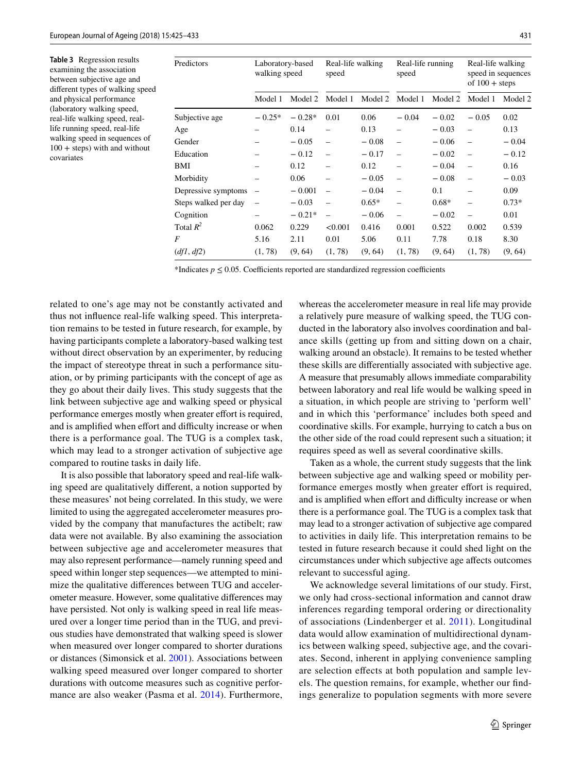<span id="page-6-0"></span>**Table 3** Regression results examining the association between subjective age and diferent types of walking speed and physical performance (laboratory walking speed, real-life walking speed, reallife running speed, real-life walking speed in sequences of  $100 +$  steps) with and without covariates

| Predictors           | Laboratory-based<br>walking speed |          | Real-life walking<br>speed |         | Real-life running<br>speed |         | Real-life walking<br>speed in sequences<br>of $100 +$ steps |         |
|----------------------|-----------------------------------|----------|----------------------------|---------|----------------------------|---------|-------------------------------------------------------------|---------|
|                      | Model 1                           | Model 2  | Model 1                    | Model 2 | Model 1                    | Model 2 | Model 1                                                     | Model 2 |
| Subjective age       | $-0.25*$                          | $-0.28*$ | 0.01                       | 0.06    | $-0.04$                    | $-0.02$ | $-0.05$                                                     | 0.02    |
| Age                  |                                   | 0.14     |                            | 0.13    |                            | $-0.03$ |                                                             | 0.13    |
| Gender               |                                   | $-0.05$  | $\overline{\phantom{m}}$   | $-0.08$ |                            | $-0.06$ |                                                             | $-0.04$ |
| Education            |                                   | $-0.12$  | $\overline{\phantom{0}}$   | $-0.17$ | $\overline{\phantom{0}}$   | $-0.02$ |                                                             | $-0.12$ |
| BMI                  |                                   | 0.12     |                            | 0.12    |                            | $-0.04$ | $\overline{\phantom{0}}$                                    | 0.16    |
| Morbidity            |                                   | 0.06     |                            | $-0.05$ | $\overline{\phantom{0}}$   | $-0.08$ | $\overline{\phantom{0}}$                                    | $-0.03$ |
| Depressive symptoms  |                                   | $-0.001$ | $\overline{\phantom{0}}$   | $-0.04$ | $\overline{\phantom{0}}$   | 0.1     |                                                             | 0.09    |
| Steps walked per day | $\overline{\phantom{0}}$          | $-0.03$  | $\overline{\phantom{0}}$   | $0.65*$ |                            | $0.68*$ |                                                             | $0.73*$ |
| Cognition            |                                   | $-0.21*$ | $\overline{\phantom{0}}$   | $-0.06$ | $\overline{\phantom{0}}$   | $-0.02$ | $\overline{\phantom{0}}$                                    | 0.01    |
| Total $R^2$          | 0.062                             | 0.229    | < 0.001                    | 0.416   | 0.001                      | 0.522   | 0.002                                                       | 0.539   |
| F                    | 5.16                              | 2.11     | 0.01                       | 5.06    | 0.11                       | 7.78    | 0.18                                                        | 8.30    |
| (df1, df2)           | (1, 78)                           | (9, 64)  | (1, 78)                    | (9, 64) | (1, 78)                    | (9, 64) | (1, 78)                                                     | (9, 64) |

\*Indicates  $p \le 0.05$ . Coefficients reported are standardized regression coefficients

related to one's age may not be constantly activated and thus not infuence real-life walking speed. This interpretation remains to be tested in future research, for example, by having participants complete a laboratory-based walking test without direct observation by an experimenter, by reducing the impact of stereotype threat in such a performance situation, or by priming participants with the concept of age as they go about their daily lives. This study suggests that the link between subjective age and walking speed or physical performance emerges mostly when greater effort is required, and is amplified when effort and difficulty increase or when there is a performance goal. The TUG is a complex task, which may lead to a stronger activation of subjective age compared to routine tasks in daily life.

It is also possible that laboratory speed and real-life walking speed are qualitatively diferent, a notion supported by these measures' not being correlated. In this study, we were limited to using the aggregated accelerometer measures provided by the company that manufactures the actibelt; raw data were not available. By also examining the association between subjective age and accelerometer measures that may also represent performance—namely running speed and speed within longer step sequences—we attempted to minimize the qualitative diferences between TUG and accelerometer measure. However, some qualitative diferences may have persisted. Not only is walking speed in real life measured over a longer time period than in the TUG, and previous studies have demonstrated that walking speed is slower when measured over longer compared to shorter durations or distances (Simonsick et al. [2001\)](#page-8-19). Associations between walking speed measured over longer compared to shorter durations with outcome measures such as cognitive performance are also weaker (Pasma et al. [2014\)](#page-8-20). Furthermore,

whereas the accelerometer measure in real life may provide a relatively pure measure of walking speed, the TUG conducted in the laboratory also involves coordination and balance skills (getting up from and sitting down on a chair, walking around an obstacle). It remains to be tested whether these skills are diferentially associated with subjective age. A measure that presumably allows immediate comparability between laboratory and real life would be walking speed in a situation, in which people are striving to 'perform well' and in which this 'performance' includes both speed and coordinative skills. For example, hurrying to catch a bus on the other side of the road could represent such a situation; it requires speed as well as several coordinative skills.

Taken as a whole, the current study suggests that the link between subjective age and walking speed or mobility performance emerges mostly when greater effort is required, and is amplified when effort and difficulty increase or when there is a performance goal. The TUG is a complex task that may lead to a stronger activation of subjective age compared to activities in daily life. This interpretation remains to be tested in future research because it could shed light on the circumstances under which subjective age afects outcomes relevant to successful aging.

We acknowledge several limitations of our study. First, we only had cross-sectional information and cannot draw inferences regarding temporal ordering or directionality of associations (Lindenberger et al. [2011\)](#page-7-13). Longitudinal data would allow examination of multidirectional dynamics between walking speed, subjective age, and the covariates. Second, inherent in applying convenience sampling are selection effects at both population and sample levels. The question remains, for example, whether our fndings generalize to population segments with more severe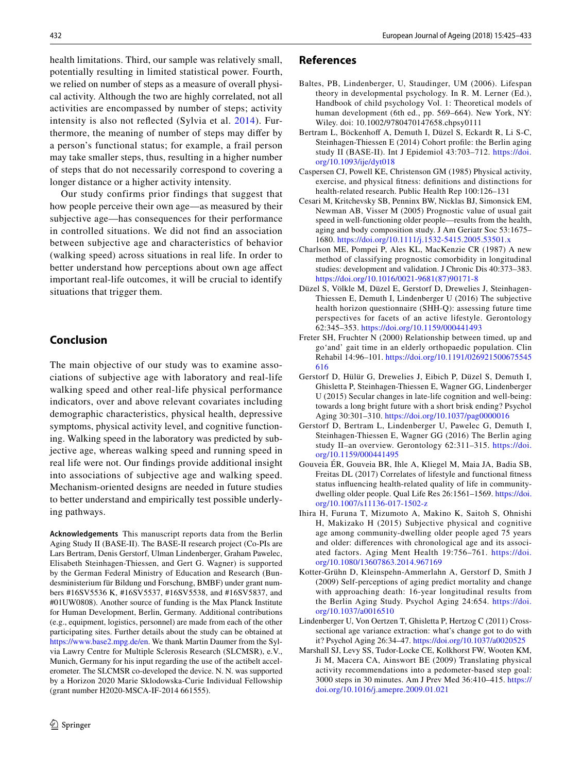health limitations. Third, our sample was relatively small, potentially resulting in limited statistical power. Fourth, we relied on number of steps as a measure of overall physical activity. Although the two are highly correlated, not all activities are encompassed by number of steps; activity intensity is also not refected (Sylvia et al. [2014](#page-8-18)). Furthermore, the meaning of number of steps may difer by a person's functional status; for example, a frail person may take smaller steps, thus, resulting in a higher number of steps that do not necessarily correspond to covering a longer distance or a higher activity intensity.

Our study confirms prior findings that suggest that how people perceive their own age—as measured by their subjective age—has consequences for their performance in controlled situations. We did not fnd an association between subjective age and characteristics of behavior (walking speed) across situations in real life. In order to better understand how perceptions about own age afect important real-life outcomes, it will be crucial to identify situations that trigger them.

# **Conclusion**

The main objective of our study was to examine associations of subjective age with laboratory and real-life walking speed and other real-life physical performance indicators, over and above relevant covariates including demographic characteristics, physical health, depressive symptoms, physical activity level, and cognitive functioning. Walking speed in the laboratory was predicted by subjective age, whereas walking speed and running speed in real life were not. Our fndings provide additional insight into associations of subjective age and walking speed. Mechanism-oriented designs are needed in future studies to better understand and empirically test possible underlying pathways.

**Acknowledgements** This manuscript reports data from the Berlin Aging Study II (BASE-II). The BASE-II research project (Co-PIs are Lars Bertram, Denis Gerstorf, Ulman Lindenberger, Graham Pawelec, Elisabeth Steinhagen-Thiessen, and Gert G. Wagner) is supported by the German Federal Ministry of Education and Research (Bundesministerium für Bildung und Forschung, BMBF) under grant numbers #16SV5536 K, #16SV5537, #16SV5538, and #16SV5837, and #01UW0808). Another source of funding is the Max Planck Institute for Human Development, Berlin, Germany. Additional contributions (e.g., equipment, logistics, personnel) are made from each of the other participating sites. Further details about the study can be obtained at [https://www.base2.mpg.de/en.](https://www.base2.mpg.de/en) We thank Martin Daumer from the Sylvia Lawry Centre for Multiple Sclerosis Research (SLCMSR), e.V., Munich, Germany for his input regarding the use of the actibelt accelerometer. The SLCMSR co-developed the device. N. N. was supported by a Horizon 2020 Marie Sklodowska-Curie Individual Fellowship (grant number H2020-MSCA-IF-2014 661555).

## **References**

- <span id="page-7-0"></span>Baltes, PB, Lindenberger, U, Staudinger, UM (2006). Lifespan theory in developmental psychology. In R. M. Lerner (Ed.), Handbook of child psychology Vol. 1: Theoretical models of human development (6th ed., pp. 569–664). New York, NY: Wiley. doi: 10.1002/9780470147658.chpsy0111
- <span id="page-7-5"></span>Bertram L, Böckenhoff A, Demuth I, Düzel S, Eckardt R, Li S-C, Steinhagen-Thiessen E (2014) Cohort profle: the Berlin aging study II (BASE-II). Int J Epidemiol 43:703–712. [https://doi.](https://doi.org/10.1093/ije/dyt018) [org/10.1093/ije/dyt018](https://doi.org/10.1093/ije/dyt018)
- <span id="page-7-11"></span>Caspersen CJ, Powell KE, Christenson GM (1985) Physical activity, exercise, and physical ftness: defnitions and distinctions for health-related research. Public Health Rep 100:126–131
- <span id="page-7-4"></span>Cesari M, Kritchevsky SB, Penninx BW, Nicklas BJ, Simonsick EM, Newman AB, Visser M (2005) Prognostic value of usual gait speed in well-functioning older people—results from the health, aging and body composition study. J Am Geriatr Soc 53:1675– 1680.<https://doi.org/10.1111/j.1532-5415.2005.53501.x>
- <span id="page-7-9"></span>Charlson ME, Pompei P, Ales KL, MacKenzie CR (1987) A new method of classifying prognostic comorbidity in longitudinal studies: development and validation. J Chronic Dis 40:373–383. [https://doi.org/10.1016/0021-9681\(87\)90171-8](https://doi.org/10.1016/0021-9681(87)90171-8)
- <span id="page-7-10"></span>Düzel S, Völkle M, Düzel E, Gerstorf D, Drewelies J, Steinhagen-Thiessen E, Demuth I, Lindenberger U (2016) The subjective health horizon questionnaire (SHH-Q): assessing future time perspectives for facets of an active lifestyle. Gerontology 62:345–353. <https://doi.org/10.1159/000441493>
- <span id="page-7-7"></span>Freter SH, Fruchter N (2000) Relationship between timed, up and go'and' gait time in an elderly orthopaedic population. Clin Rehabil 14:96–101. [https://doi.org/10.1191/026921500675545](https://doi.org/10.1191/026921500675545616) [616](https://doi.org/10.1191/026921500675545616)
- <span id="page-7-8"></span>Gerstorf D, Hülür G, Drewelies J, Eibich P, Düzel S, Demuth I, Ghisletta P, Steinhagen-Thiessen E, Wagner GG, Lindenberger U (2015) Secular changes in late-life cognition and well-being: towards a long bright future with a short brisk ending? Psychol Aging 30:301–310. <https://doi.org/10.1037/pag0000016>
- <span id="page-7-6"></span>Gerstorf D, Bertram L, Lindenberger U, Pawelec G, Demuth I, Steinhagen-Thiessen E, Wagner GG (2016) The Berlin aging study II–an overview. Gerontology 62:311–315. [https://doi.](https://doi.org/10.1159/000441495) [org/10.1159/000441495](https://doi.org/10.1159/000441495)
- <span id="page-7-2"></span>Gouveia ÉR, Gouveia BR, Ihle A, Kliegel M, Maia JA, Badia SB, Freitas DL (2017) Correlates of lifestyle and functional ftness status infuencing health-related quality of life in communitydwelling older people. Qual Life Res 26:1561–1569. [https://doi.](https://doi.org/10.1007/s11136-017-1502-z) [org/10.1007/s11136-017-1502-z](https://doi.org/10.1007/s11136-017-1502-z)
- <span id="page-7-3"></span>Ihira H, Furuna T, Mizumoto A, Makino K, Saitoh S, Ohnishi H, Makizako H (2015) Subjective physical and cognitive age among community-dwelling older people aged 75 years and older: diferences with chronological age and its associated factors. Aging Ment Health 19:756–761. [https://doi.](https://doi.org/10.1080/13607863.2014.967169) [org/10.1080/13607863.2014.967169](https://doi.org/10.1080/13607863.2014.967169)
- <span id="page-7-1"></span>Kotter-Grühn D, Kleinspehn-Ammerlahn A, Gerstorf D, Smith J (2009) Self-perceptions of aging predict mortality and change with approaching death: 16-year longitudinal results from the Berlin Aging Study. Psychol Aging 24:654. [https://doi.](https://doi.org/10.1037/a0016510) [org/10.1037/a0016510](https://doi.org/10.1037/a0016510)
- <span id="page-7-13"></span>Lindenberger U, Von Oertzen T, Ghisletta P, Hertzog C (2011) Crosssectional age variance extraction: what's change got to do with it? Psychol Aging 26:34–47.<https://doi.org/10.1037/a0020525>
- <span id="page-7-12"></span>Marshall SJ, Levy SS, Tudor-Locke CE, Kolkhorst FW, Wooten KM, Ji M, Macera CA, Ainswort BE (2009) Translating physical activity recommendations into a pedometer-based step goal: 3000 steps in 30 minutes. Am J Prev Med 36:410–415. [https://](https://doi.org/10.1016/j.amepre.2009.01.021) [doi.org/10.1016/j.amepre.2009.01.021](https://doi.org/10.1016/j.amepre.2009.01.021)